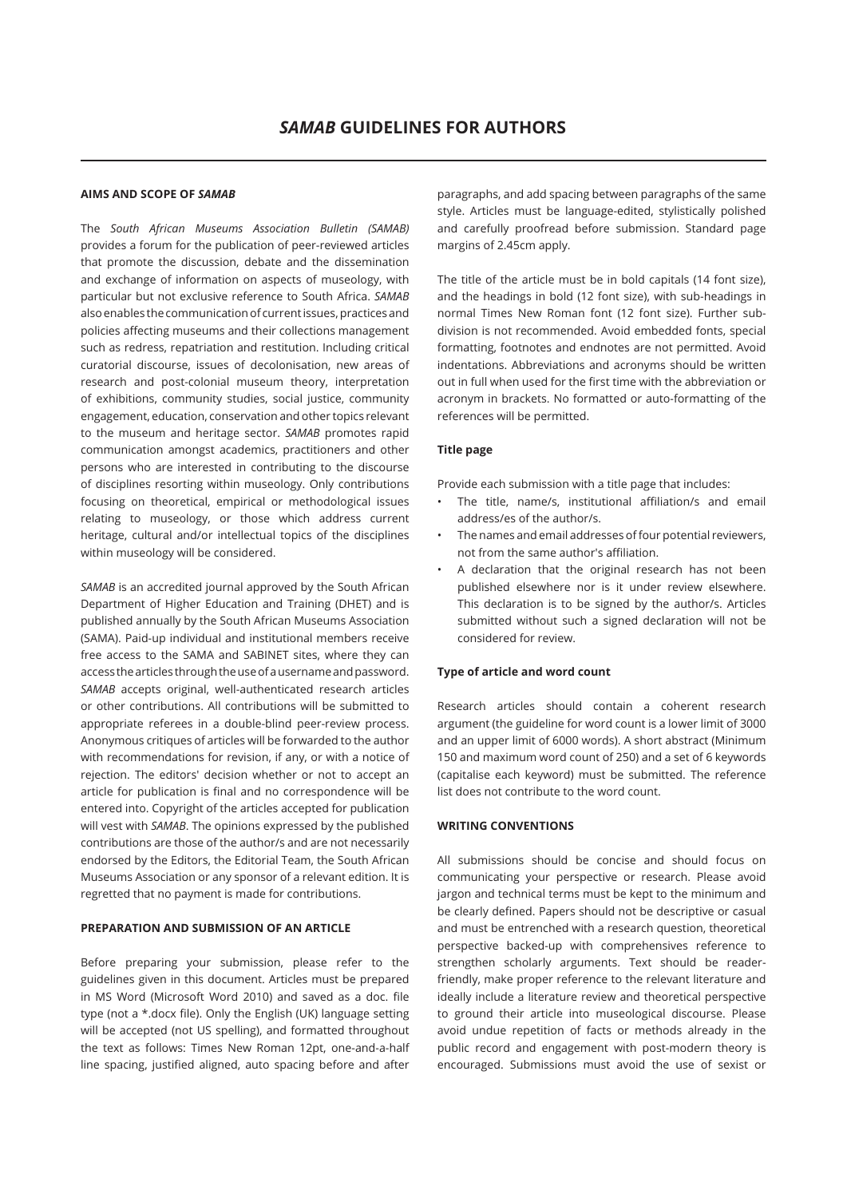# **AIMS AND SCOPE OF** *SAMAB*

The *South African Museums Association Bulletin (SAMAB)* provides a forum for the publication of peer-reviewed articles that promote the discussion, debate and the dissemination and exchange of information on aspects of museology, with particular but not exclusive reference to South Africa. *SAMAB* also enables the communication of current issues, practices and policies affecting museums and their collections management such as redress, repatriation and restitution. Including critical curatorial discourse, issues of decolonisation, new areas of research and post-colonial museum theory, interpretation of exhibitions, community studies, social justice, community engagement, education, conservation and other topics relevant to the museum and heritage sector. *SAMAB* promotes rapid communication amongst academics, practitioners and other persons who are interested in contributing to the discourse of disciplines resorting within museology. Only contributions focusing on theoretical, empirical or methodological issues relating to museology, or those which address current heritage, cultural and/or intellectual topics of the disciplines within museology will be considered.

*SAMAB* is an accredited journal approved by the South African Department of Higher Education and Training (DHET) and is published annually by the South African Museums Association (SAMA). Paid-up individual and institutional members receive free access to the SAMA and SABINET sites, where they can access the articles through the use of a username and password. *SAMAB* accepts original, well-authenticated research articles or other contributions. All contributions will be submitted to appropriate referees in a double-blind peer-review process. Anonymous critiques of articles will be forwarded to the author with recommendations for revision, if any, or with a notice of rejection. The editors' decision whether or not to accept an article for publication is final and no correspondence will be entered into. Copyright of the articles accepted for publication will vest with *SAMAB*. The opinions expressed by the published contributions are those of the author/s and are not necessarily endorsed by the Editors, the Editorial Team, the South African Museums Association or any sponsor of a relevant edition. It is regretted that no payment is made for contributions.

# **PREPARATION AND SUBMISSION OF AN ARTICLE**

Before preparing your submission, please refer to the guidelines given in this document. Articles must be prepared in MS Word (Microsoft Word 2010) and saved as a doc. file type (not a \*.docx file). Only the English (UK) language setting will be accepted (not US spelling), and formatted throughout the text as follows: Times New Roman 12pt, one-and-a-half line spacing, justified aligned, auto spacing before and after

paragraphs, and add spacing between paragraphs of the same style. Articles must be language-edited, stylistically polished and carefully proofread before submission. Standard page margins of 2.45cm apply.

The title of the article must be in bold capitals (14 font size), and the headings in bold (12 font size), with sub-headings in normal Times New Roman font (12 font size). Further subdivision is not recommended. Avoid embedded fonts, special formatting, footnotes and endnotes are not permitted. Avoid indentations. Abbreviations and acronyms should be written out in full when used for the first time with the abbreviation or acronym in brackets. No formatted or auto-formatting of the references will be permitted.

## **Title page**

Provide each submission with a title page that includes:

- The title, name/s, institutional affiliation/s and email address/es of the author/s.
- The names and email addresses of four potential reviewers, not from the same author's affiliation.
- A declaration that the original research has not been published elsewhere nor is it under review elsewhere. This declaration is to be signed by the author/s. Articles submitted without such a signed declaration will not be considered for review.

## **Type of article and word count**

Research articles should contain a coherent research argument (the guideline for word count is a lower limit of 3000 and an upper limit of 6000 words). A short abstract (Minimum 150 and maximum word count of 250) and a set of 6 keywords (capitalise each keyword) must be submitted. The reference list does not contribute to the word count.

## **WRITING CONVENTIONS**

All submissions should be concise and should focus on communicating your perspective or research. Please avoid jargon and technical terms must be kept to the minimum and be clearly defined. Papers should not be descriptive or casual and must be entrenched with a research question, theoretical perspective backed-up with comprehensives reference to strengthen scholarly arguments. Text should be readerfriendly, make proper reference to the relevant literature and ideally include a literature review and theoretical perspective to ground their article into museological discourse. Please avoid undue repetition of facts or methods already in the public record and engagement with post-modern theory is encouraged. Submissions must avoid the use of sexist or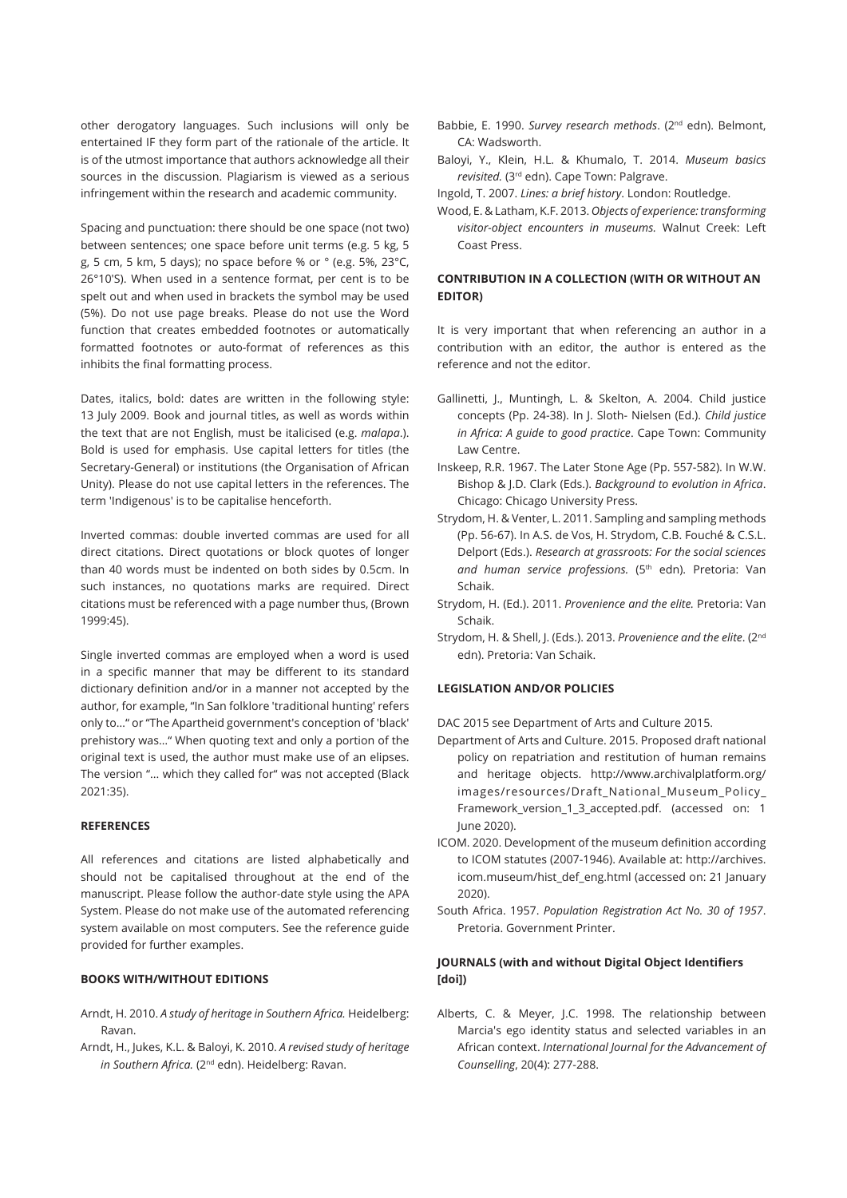other derogatory languages. Such inclusions will only be entertained IF they form part of the rationale of the article. It is of the utmost importance that authors acknowledge all their sources in the discussion. Plagiarism is viewed as a serious infringement within the research and academic community.

Spacing and punctuation: there should be one space (not two) between sentences; one space before unit terms (e.g. 5 kg, 5 g, 5 cm, 5 km, 5 days); no space before % or ° (e.g. 5%, 23°C, 26°10′S). When used in a sentence format, per cent is to be spelt out and when used in brackets the symbol may be used (5%). Do not use page breaks. Please do not use the Word function that creates embedded footnotes or automatically formatted footnotes or auto-format of references as this inhibits the final formatting process.

Dates, italics, bold: dates are written in the following style: 13 July 2009. Book and journal titles, as well as words within the text that are not English, must be italicised (e.g. *malapa*.). Bold is used for emphasis. Use capital letters for titles (the Secretary-General) or institutions (the Organisation of African Unity). Please do not use capital letters in the references. The term 'Indigenous' is to be capitalise henceforth.

Inverted commas: double inverted commas are used for all direct citations. Direct quotations or block quotes of longer than 40 words must be indented on both sides by 0.5cm. In such instances, no quotations marks are required. Direct citations must be referenced with a page number thus, (Brown 1999:45).

Single inverted commas are employed when a word is used in a specific manner that may be different to its standard dictionary definition and/or in a manner not accepted by the author, for example, "In San folklore 'traditional hunting' refers only to…" or "The Apartheid government's conception of 'black' prehistory was…" When quoting text and only a portion of the original text is used, the author must make use of an elipses. The version "... which they called for" was not accepted (Black 2021:35).

## **REFERENCES**

All references and citations are listed alphabetically and should not be capitalised throughout at the end of the manuscript. Please follow the author-date style using the APA System. Please do not make use of the automated referencing system available on most computers. See the reference guide provided for further examples.

# **BOOKS WITH/WITHOUT EDITIONS**

- Arndt, H. 2010. *A study of heritage in Southern Africa.* Heidelberg: Ravan.
- Arndt, H., Jukes, K.L. & Baloyi, K. 2010. *A revised study of heritage in Southern Africa.* (2<sup>nd</sup> edn). Heidelberg: Ravan.
- Babbie, E. 1990. *Survey research methods*. (2nd edn). Belmont, CA: Wadsworth.
- Baloyi, Y., Klein, H.L. & Khumalo, T. 2014. *Museum basics revisited.* (3rd edn). Cape Town: Palgrave.
- Ingold, T. 2007. *Lines: a brief history*. London: Routledge.
- Wood, E. & Latham, K.F. 2013. *Objects of experience: transforming visitor-object encounters in museums.* Walnut Creek: Left Coast Press.

# **CONTRIBUTION IN A COLLECTION (WITH OR WITHOUT AN EDITOR)**

It is very important that when referencing an author in a contribution with an editor, the author is entered as the reference and not the editor.

- Gallinetti, J., Muntingh, L. & Skelton, A. 2004. Child justice concepts (Pp. 24-38). In J. Sloth- Nielsen (Ed.). *Child justice in Africa: A guide to good practice*. Cape Town: Community Law Centre.
- Inskeep, R.R. 1967. The Later Stone Age (Pp. 557-582). In W.W. Bishop & J.D. Clark (Eds.). *Background to evolution in Africa*. Chicago: Chicago University Press.
- Strydom, H. & Venter, L. 2011. Sampling and sampling methods (Pp. 56-67). In A.S. de Vos, H. Strydom, C.B. Fouché & C.S.L. Delport (Eds.). *Research at grassroots: For the social sciences*  and human service professions. (5<sup>th</sup> edn). Pretoria: Van Schaik.
- Strydom, H. (Ed.). 2011. *Provenience and the elite.* Pretoria: Van Schaik.
- Strydom, H. & Shell, J. (Eds.). 2013. *Provenience and the elite*. (2nd edn). Pretoria: Van Schaik.

#### **LEGISLATION AND/OR POLICIES**

DAC 2015 see Department of Arts and Culture 2015.

- Department of Arts and Culture. 2015. Proposed draft national policy on repatriation and restitution of human remains and heritage objects. http://www.archivalplatform.org/ images/resources/Draft\_National\_Museum\_Policy\_ Framework\_version\_1\_3\_accepted.pdf. (accessed on: 1 June 2020).
- ICOM. 2020. Development of the museum definition according to ICOM statutes (2007-1946). Available at: http://archives. icom.museum/hist\_def\_eng.html (accessed on: 21 January 2020).
- South Africa. 1957. *Population Registration Act No. 30 of 1957*. Pretoria. Government Printer.

# **JOURNALS (with and without Digital Object Identifiers [doi])**

Alberts, C. & Meyer, J.C. 1998. The relationship between Marcia's ego identity status and selected variables in an African context. *International Journal for the Advancement of Counselling*, 20(4): 277-288.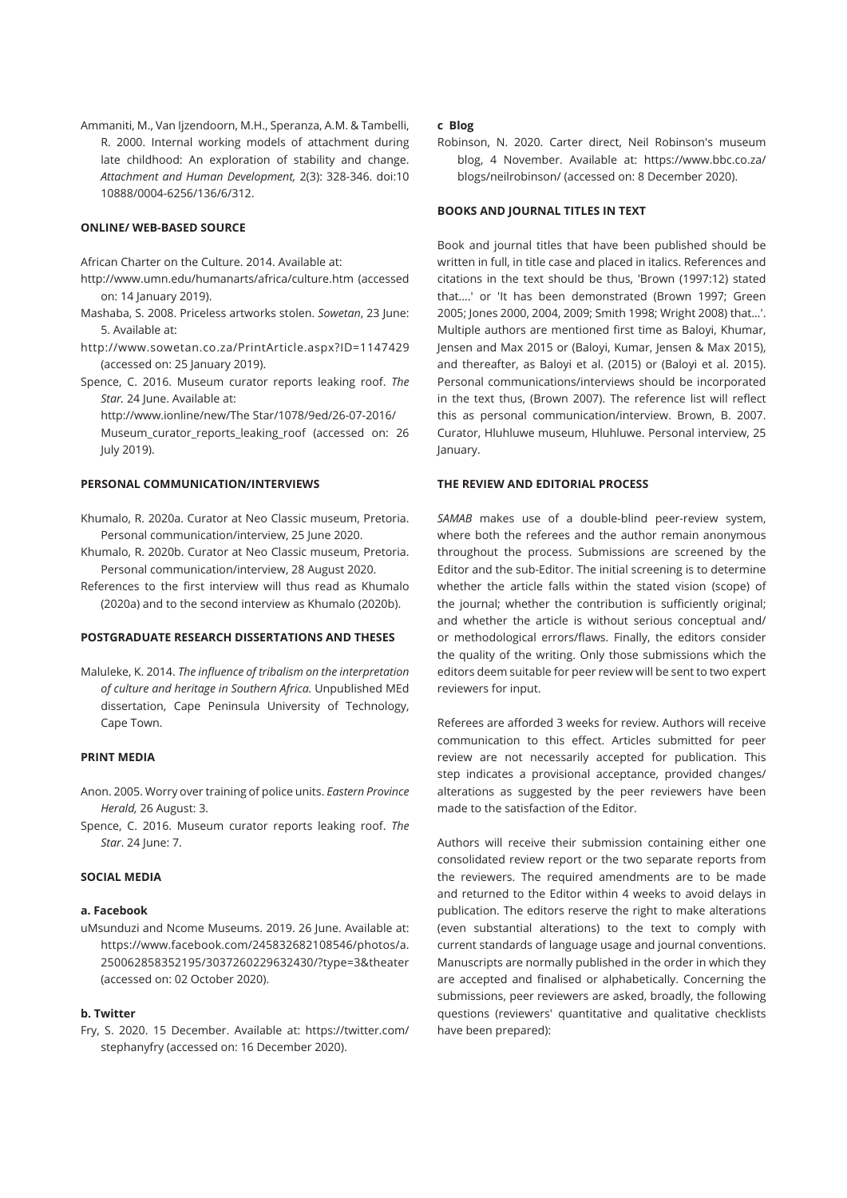Ammaniti, M., Van Ijzendoorn, M.H., Speranza, A.M. & Tambelli, R. 2000. Internal working models of attachment during late childhood: An exploration of stability and change. *Attachment and Human Development,* 2(3): 328-346. doi:10 10888/0004-6256/136/6/312.

# **ONLINE/ WEB-BASED SOURCE**

African Charter on the Culture. 2014. Available at:

- http://www.umn.edu/humanarts/africa/culture.htm (accessed on: 14 January 2019).
- Mashaba, S. 2008. Priceless artworks stolen. *Sowetan*, 23 June: 5. Available at:
- http://www.sowetan.co.za/PrintArticle.aspx?ID=1147429 (accessed on: 25 January 2019).
- Spence, C. 2016. Museum curator reports leaking roof. *The Star.* 24 June. Available at:

http://www.ionline/new/The Star/1078/9ed/26-07-2016/ Museum\_curator\_reports\_leaking\_roof (accessed on: 26 July 2019).

#### **PERSONAL COMMUNICATION/INTERVIEWS**

- Khumalo, R. 2020a. Curator at Neo Classic museum, Pretoria. Personal communication/interview, 25 June 2020.
- Khumalo, R. 2020b. Curator at Neo Classic museum, Pretoria. Personal communication/interview, 28 August 2020.
- References to the first interview will thus read as Khumalo (2020a) and to the second interview as Khumalo (2020b).

## **POSTGRADUATE RESEARCH DISSERTATIONS AND THESES**

Maluleke, K. 2014. *The influence of tribalism on the interpretation of culture and heritage in Southern Africa.* Unpublished MEd dissertation, Cape Peninsula University of Technology, Cape Town.

#### **PRINT MEDIA**

- Anon. 2005. Worry over training of police units. *Eastern Province Herald,* 26 August: 3.
- Spence, C. 2016. Museum curator reports leaking roof. *The Star*. 24 June: 7.

#### **SOCIAL MEDIA**

## **a. Facebook**

uMsunduzi and Ncome Museums. 2019. 26 June. Available at: https://www.facebook.com/245832682108546/photos/a. 250062858352195/3037260229632430/?type=3&theater (accessed on: 02 October 2020).

#### **b. Twitter**

Fry, S. 2020. 15 December. Available at: https://twitter.com/ stephanyfry (accessed on: 16 December 2020).

#### **c Blog**

Robinson, N. 2020. Carter direct, Neil Robinson's museum blog, 4 November. Available at: https://www.bbc.co.za/ blogs/neilrobinson/ (accessed on: 8 December 2020).

#### **BOOKS AND JOURNAL TITLES IN TEXT**

Book and journal titles that have been published should be written in full, in title case and placed in italics. References and citations in the text should be thus, 'Brown (1997:12) stated that….' or 'It has been demonstrated (Brown 1997; Green 2005; Jones 2000, 2004, 2009; Smith 1998; Wright 2008) that…'. Multiple authors are mentioned first time as Baloyi, Khumar, Jensen and Max 2015 or (Baloyi, Kumar, Jensen & Max 2015), and thereafter, as Baloyi et al. (2015) or (Baloyi et al. 2015). Personal communications/interviews should be incorporated in the text thus, (Brown 2007). The reference list will reflect this as personal communication/interview. Brown, B. 2007. Curator, Hluhluwe museum, Hluhluwe. Personal interview, 25 January.

#### **THE REVIEW AND EDITORIAL PROCESS**

*SAMAB* makes use of a double-blind peer-review system, where both the referees and the author remain anonymous throughout the process. Submissions are screened by the Editor and the sub-Editor. The initial screening is to determine whether the article falls within the stated vision (scope) of the journal; whether the contribution is sufficiently original; and whether the article is without serious conceptual and/ or methodological errors/flaws. Finally, the editors consider the quality of the writing. Only those submissions which the editors deem suitable for peer review will be sent to two expert reviewers for input.

Referees are afforded 3 weeks for review. Authors will receive communication to this effect. Articles submitted for peer review are not necessarily accepted for publication. This step indicates a provisional acceptance, provided changes/ alterations as suggested by the peer reviewers have been made to the satisfaction of the Editor.

Authors will receive their submission containing either one consolidated review report or the two separate reports from the reviewers. The required amendments are to be made and returned to the Editor within 4 weeks to avoid delays in publication. The editors reserve the right to make alterations (even substantial alterations) to the text to comply with current standards of language usage and journal conventions. Manuscripts are normally published in the order in which they are accepted and finalised or alphabetically. Concerning the submissions, peer reviewers are asked, broadly, the following questions (reviewers' quantitative and qualitative checklists have been prepared):